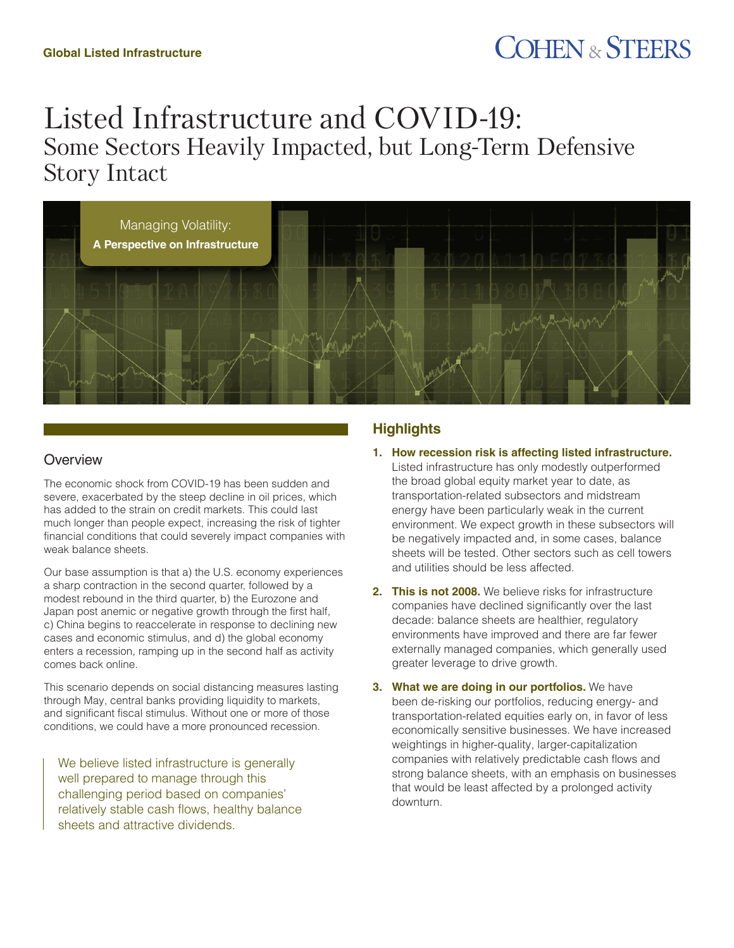# **COHEN & STEERS**

# Listed Infrastructure and COVID-19: Some Sectors Heavily Impacted, but Long-Term Defensive Story Intact



# **Overview**

The economic shock from COVID-19 has been sudden and severe, exacerbated by the steep decline in oil prices, which has added to the strain on credit markets. This could last much longer than people expect, increasing the risk of tighter financial conditions that could severely impact companies with weak balance sheets.

Our base assumption is that a) the U.S. economy experiences a sharp contraction in the second quarter, followed by a modest rebound in the third quarter, b) the Eurozone and Japan post anemic or negative growth through the first half, c) China begins to reaccelerate in response to declining new cases and economic stimulus, and d) the global economy enters a recession, ramping up in the second half as activity comes back online.

This scenario depends on social distancing measures lasting through May, central banks providing liquidity to markets, and significant fiscal stimulus. Without one or more of those conditions, we could have a more pronounced recession.

We believe listed infrastructure is generally well prepared to manage through this challenging period based on companies' relatively stable cash flows, healthy balance sheets and attractive dividends.

# **Highlights**

- **1. How recession risk is affecting listed infrastructure.**
- Listed infrastructure has only modestly outperformed the broad global equity market year to date, as transportation-related subsectors and midstream energy have been particularly weak in the current environment. We expect growth in these subsectors will be negatively impacted and, in some cases, balance sheets will be tested. Other sectors such as cell towers and utilities should be less affected.
- **2. This is not 2008.** We believe risks for infrastructure companies have declined significantly over the last decade: balance sheets are healthier, regulatory environments have improved and there are far fewer externally managed companies, which generally used greater leverage to drive growth.
- **3. What we are doing in our portfolios.** We have been de-risking our portfolios, reducing energy- and transportation-related equities early on, in favor of less economically sensitive businesses. We have increased weightings in higher-quality, larger-capitalization companies with relatively predictable cash flows and strong balance sheets, with an emphasis on businesses that would be least affected by a prolonged activity downturn.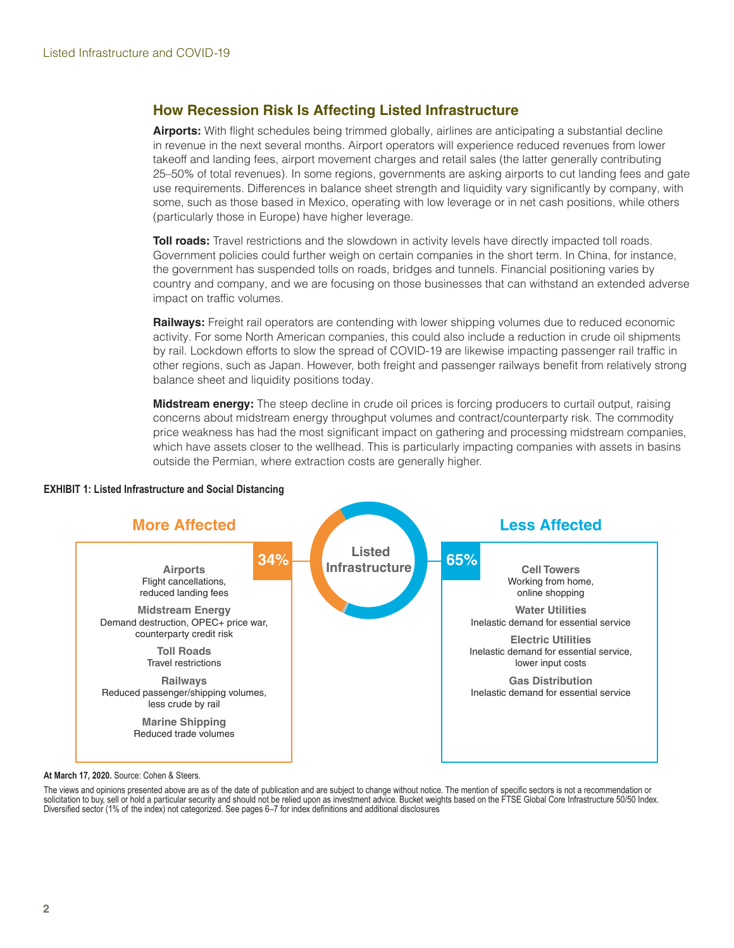# **How Recession Risk Is Affecting Listed Infrastructure**

**Airports:** With flight schedules being trimmed globally, airlines are anticipating a substantial decline in revenue in the next several months. Airport operators will experience reduced revenues from lower takeoff and landing fees, airport movement charges and retail sales (the latter generally contributing 25–50% of total revenues). In some regions, governments are asking airports to cut landing fees and gate use requirements. Differences in balance sheet strength and liquidity vary significantly by company, with some, such as those based in Mexico, operating with low leverage or in net cash positions, while others (particularly those in Europe) have higher leverage.

**Toll roads:** Travel restrictions and the slowdown in activity levels have directly impacted toll roads. Government policies could further weigh on certain companies in the short term. In China, for instance, the government has suspended tolls on roads, bridges and tunnels. Financial positioning varies by country and company, and we are focusing on those businesses that can withstand an extended adverse impact on traffic volumes.

**Railways:** Freight rail operators are contending with lower shipping volumes due to reduced economic activity. For some North American companies, this could also include a reduction in crude oil shipments by rail. Lockdown efforts to slow the spread of COVID-19 are likewise impacting passenger rail traffic in other regions, such as Japan. However, both freight and passenger railways benefit from relatively strong balance sheet and liquidity positions today.

**Midstream energy:** The steep decline in crude oil prices is forcing producers to curtail output, raising concerns about midstream energy throughput volumes and contract/counterparty risk. The commodity price weakness has had the most significant impact on gathering and processing midstream companies, which have assets closer to the wellhead. This is particularly impacting companies with assets in basins outside the Permian, where extraction costs are generally higher.



## **EXHIBIT 1: Listed Infrastructure and Social Distancing**

**At March 17, 2020.** Source: Cohen & Steers.

The views and opinions presented above are as of the date of publication and are subject to change without notice. The mention of specific sectors is not a recommendation or solicitation to buy, sell or hold a particular security and should not be relied upon as investment advice. Bucket weights based on the FTSE Global Core Infrastructure 50/50 Index. Diversified sector (1% of the index) not categorized. See pages 6–7 for index definitions and additional disclosures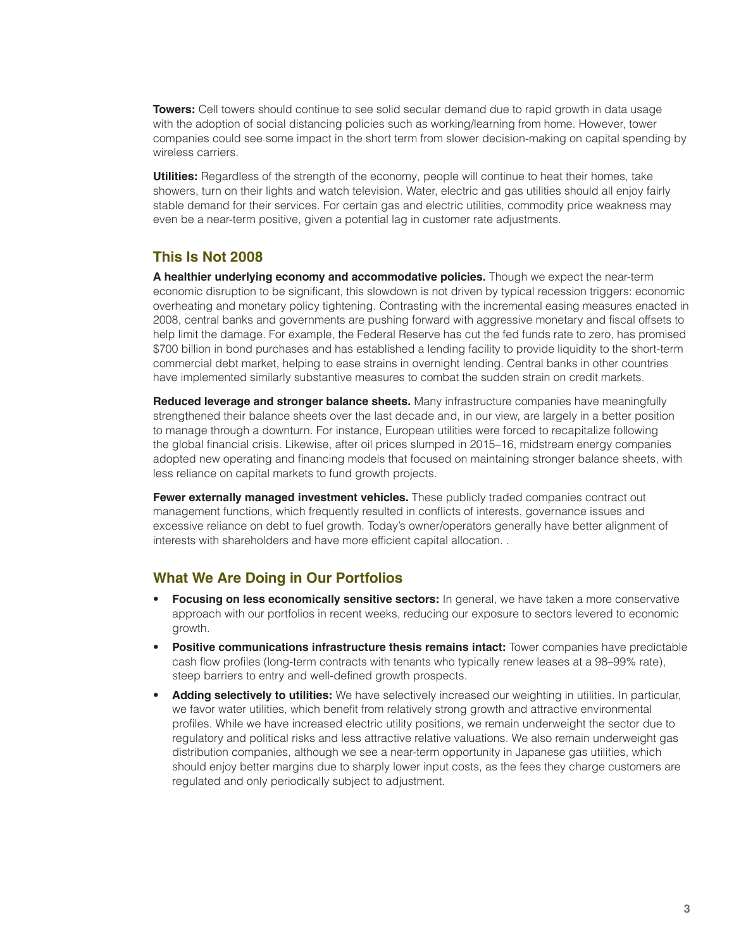**Towers:** Cell towers should continue to see solid secular demand due to rapid growth in data usage with the adoption of social distancing policies such as working/learning from home. However, tower companies could see some impact in the short term from slower decision-making on capital spending by wireless carriers.

**Utilities:** Regardless of the strength of the economy, people will continue to heat their homes, take showers, turn on their lights and watch television. Water, electric and gas utilities should all enjoy fairly stable demand for their services. For certain gas and electric utilities, commodity price weakness may even be a near-term positive, given a potential lag in customer rate adjustments.

# **This Is Not 2008**

**A healthier underlying economy and accommodative policies.** Though we expect the near-term economic disruption to be significant, this slowdown is not driven by typical recession triggers: economic overheating and monetary policy tightening. Contrasting with the incremental easing measures enacted in 2008, central banks and governments are pushing forward with aggressive monetary and fiscal offsets to help limit the damage. For example, the Federal Reserve has cut the fed funds rate to zero, has promised \$700 billion in bond purchases and has established a lending facility to provide liquidity to the short-term commercial debt market, helping to ease strains in overnight lending. Central banks in other countries have implemented similarly substantive measures to combat the sudden strain on credit markets.

**Reduced leverage and stronger balance sheets.** Many infrastructure companies have meaningfully strengthened their balance sheets over the last decade and, in our view, are largely in a better position to manage through a downturn. For instance, European utilities were forced to recapitalize following the global financial crisis. Likewise, after oil prices slumped in 2015–16, midstream energy companies adopted new operating and financing models that focused on maintaining stronger balance sheets, with less reliance on capital markets to fund growth projects.

**Fewer externally managed investment vehicles.** These publicly traded companies contract out management functions, which frequently resulted in conflicts of interests, governance issues and excessive reliance on debt to fuel growth. Today's owner/operators generally have better alignment of interests with shareholders and have more efficient capital allocation. .

# **What We Are Doing in Our Portfolios**

- **Focusing on less economically sensitive sectors:** In general, we have taken a more conservative approach with our portfolios in recent weeks, reducing our exposure to sectors levered to economic growth.
- **Positive communications infrastructure thesis remains intact:** Tower companies have predictable cash flow profiles (long-term contracts with tenants who typically renew leases at a 98–99% rate), steep barriers to entry and well-defined growth prospects.
- **Adding selectively to utilities:** We have selectively increased our weighting in utilities. In particular, we favor water utilities, which benefit from relatively strong growth and attractive environmental profiles. While we have increased electric utility positions, we remain underweight the sector due to regulatory and political risks and less attractive relative valuations. We also remain underweight gas distribution companies, although we see a near-term opportunity in Japanese gas utilities, which should enjoy better margins due to sharply lower input costs, as the fees they charge customers are regulated and only periodically subject to adjustment.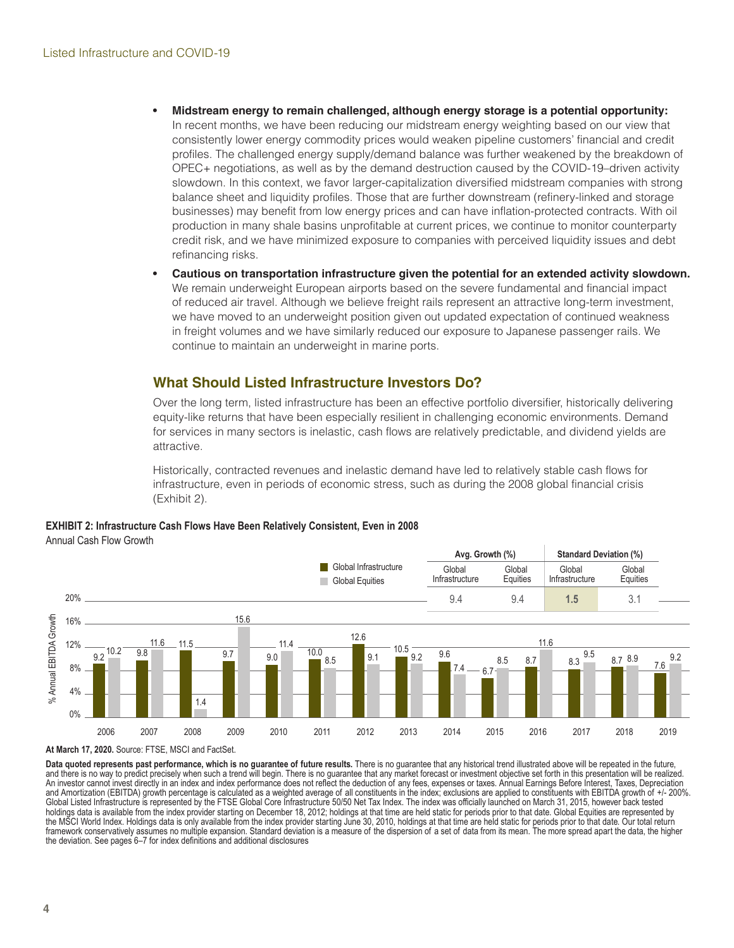- **• Midstream energy to remain challenged, although energy storage is a potential opportunity:** In recent months, we have been reducing our midstream energy weighting based on our view that consistently lower energy commodity prices would weaken pipeline customers' financial and credit profiles. The challenged energy supply/demand balance was further weakened by the breakdown of OPEC+ negotiations, as well as by the demand destruction caused by the COVID-19–driven activity slowdown. In this context, we favor larger-capitalization diversified midstream companies with strong balance sheet and liquidity profiles. Those that are further downstream (refinery-linked and storage businesses) may benefit from low energy prices and can have inflation-protected contracts. With oil production in many shale basins unprofitable at current prices, we continue to monitor counterparty credit risk, and we have minimized exposure to companies with perceived liquidity issues and debt refinancing risks.
- **• Cautious on transportation infrastructure given the potential for an extended activity slowdown.** We remain underweight European airports based on the severe fundamental and financial impact of reduced air travel. Although we believe freight rails represent an attractive long-term investment, we have moved to an underweight position given out updated expectation of continued weakness in freight volumes and we have similarly reduced our exposure to Japanese passenger rails. We continue to maintain an underweight in marine ports.

# **What Should Listed Infrastructure Investors Do?**

Over the long term, listed infrastructure has been an effective portfolio diversifier, historically delivering equity-like returns that have been especially resilient in challenging economic environments. Demand for services in many sectors is inelastic, cash flows are relatively predictable, and dividend yields are attractive.

Historically, contracted revenues and inelastic demand have led to relatively stable cash flows for infrastructure, even in periods of economic stress, such as during the 2008 global financial crisis (Exhibit 2).

### **EXHIBIT 2: Infrastructure Cash Flows Have Been Relatively Consistent, Even in 2008** Annual Cash Flow Growth



**At March 17, 2020.** Source: FTSE, MSCI and FactSet.

Data quoted represents past performance, which is no guarantee of future results. There is no guarantee that any historical trend illustrated above will be repeated in the future, and there is no way to predict precisely when such a trend will begin. There is no guarantee that any market forecast or investment objective set forth in this presentation will be realized. An investor cannot invest directly in an index and index performance does not reflect the deduction of any fees, expenses or taxes. Annual Earnings Before Interest, Taxes, Depreciation and Amortization (EBITDA) growth percentage is calculated as a weighted average of all constituents in the index; exclusions are applied to constituents with EBITDA growth of +/- 200%. Global Listed Infrastructure is represented by the FTSE Global Core Infrastructure 50/50 Net Tax Index. The index was officially launched on March 31, 2015, however back tested holdings data is available from the index provider starting on December 18, 2012; holdings at that time are held static for periods prior to that date. Global Equities are represented by the MSCI World Index. Holdings data is only available from the index provider starting June 30, 2010, holdings at that time are held static for periods prior to that date. Our total return framework conservatively assumes no multiple expansion. Standard deviation is a measure of the dispersion of a set of data from its mean. The more spread apart the data, the higher the deviation. See pages 6–7 for index definitions and additional disclosures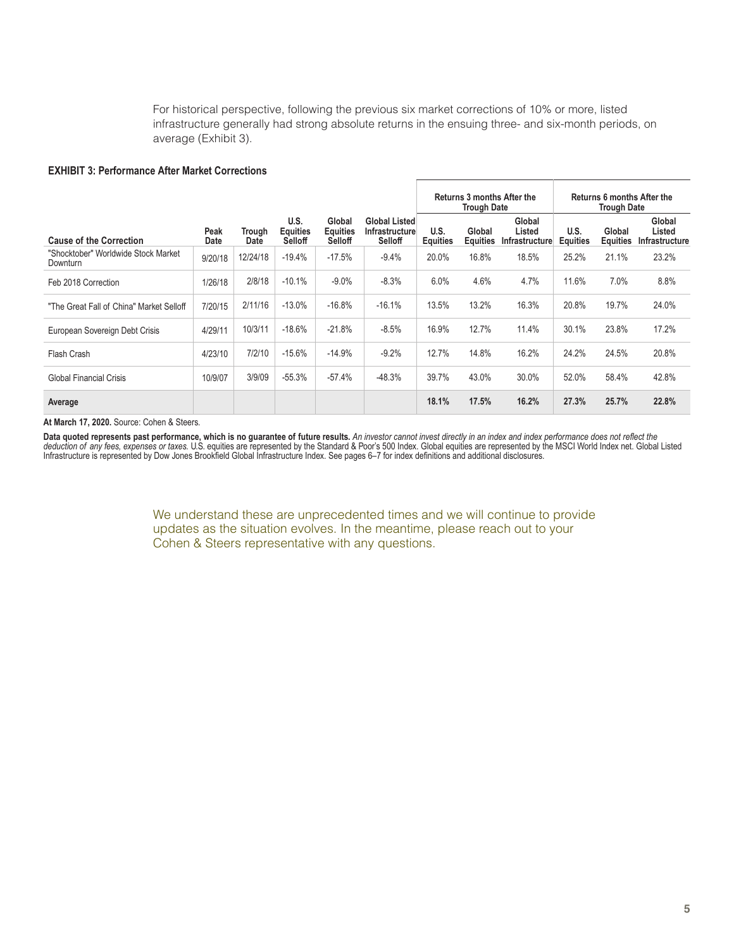For historical perspective, following the previous six market corrections of 10% or more, listed infrastructure generally had strong absolute returns in the ensuing three- and six-month periods, on average (Exhibit 3).

### **EXHIBIT 3: Performance After Market Corrections**

|                                                 |                     |                |                                    |                                      |                                                          | <b>Returns 3 months After the</b><br><b>Trough Date</b> |                           |                                    | <b>Returns 6 months After the</b><br><b>Trough Date</b> |                           |                                           |
|-------------------------------------------------|---------------------|----------------|------------------------------------|--------------------------------------|----------------------------------------------------------|---------------------------------------------------------|---------------------------|------------------------------------|---------------------------------------------------------|---------------------------|-------------------------------------------|
| <b>Cause of the Correction</b>                  | Peak<br><b>Date</b> | Trough<br>Date | U.S.<br><b>Equities</b><br>Selloff | Global<br><b>Equities</b><br>Selloff | <b>Global Listed</b><br><b>Infrastructure</b><br>Selloff | U.S.<br><b>Equities</b>                                 | Global<br><b>Equities</b> | Global<br>Listed<br>Infrastructure | U.S.<br><b>Equities</b>                                 | Global<br><b>Equities</b> | Global<br>Listed<br><b>Infrastructure</b> |
| "Shocktober" Worldwide Stock Market<br>Downturn | 9/20/18             | 12/24/18       | $-19.4%$                           | $-17.5%$                             | $-9.4%$                                                  | 20.0%                                                   | 16.8%                     | 18.5%                              | 25.2%                                                   | 21.1%                     | 23.2%                                     |
| Feb 2018 Correction                             | 1/26/18             | 2/8/18         | $-10.1%$                           | $-9.0\%$                             | $-8.3%$                                                  | 6.0%                                                    | 4.6%                      | 4.7%                               | 11.6%                                                   | 7.0%                      | 8.8%                                      |
| "The Great Fall of China" Market Selloff        | 7/20/15             | 2/11/16        | $-13.0%$                           | $-16.8%$                             | $-16.1%$                                                 | 13.5%                                                   | 13.2%                     | 16.3%                              | 20.8%                                                   | 19.7%                     | 24.0%                                     |
| European Sovereign Debt Crisis                  | 4/29/11             | 10/3/11        | $-18.6%$                           | $-21.8%$                             | $-8.5%$                                                  | 16.9%                                                   | 12.7%                     | 11.4%                              | 30.1%                                                   | 23.8%                     | 17.2%                                     |
| Flash Crash                                     | 4/23/10             | 7/2/10         | $-15.6%$                           | $-14.9%$                             | $-9.2%$                                                  | 12.7%                                                   | 14.8%                     | 16.2%                              | 24.2%                                                   | 24.5%                     | 20.8%                                     |
| Global Financial Crisis                         | 10/9/07             | 3/9/09         | $-55.3%$                           | $-57.4%$                             | $-48.3%$                                                 | 39.7%                                                   | 43.0%                     | 30.0%                              | 52.0%                                                   | 58.4%                     | 42.8%                                     |
| Average                                         |                     |                |                                    |                                      |                                                          | 18.1%                                                   | 17.5%                     | 16.2%                              | 27.3%                                                   | 25.7%                     | 22.8%                                     |

#### **At March 17, 2020.** Source: Cohen & Steers.

**Data quoted represents past performance, which is no guarantee of future results.** *An investor cannot invest directly in an index and index performance does not reflect the deduction of any fees, expenses or taxes*. U.S. equities are represented by the Standard & Poor's 500 Index. Global equities are represented by the MSCI World Index net. Global Listed<br>Infrastructure is represented by Dow

> We understand these are unprecedented times and we will continue to provide updates as the situation evolves. In the meantime, please reach out to your Cohen & Steers representative with any questions.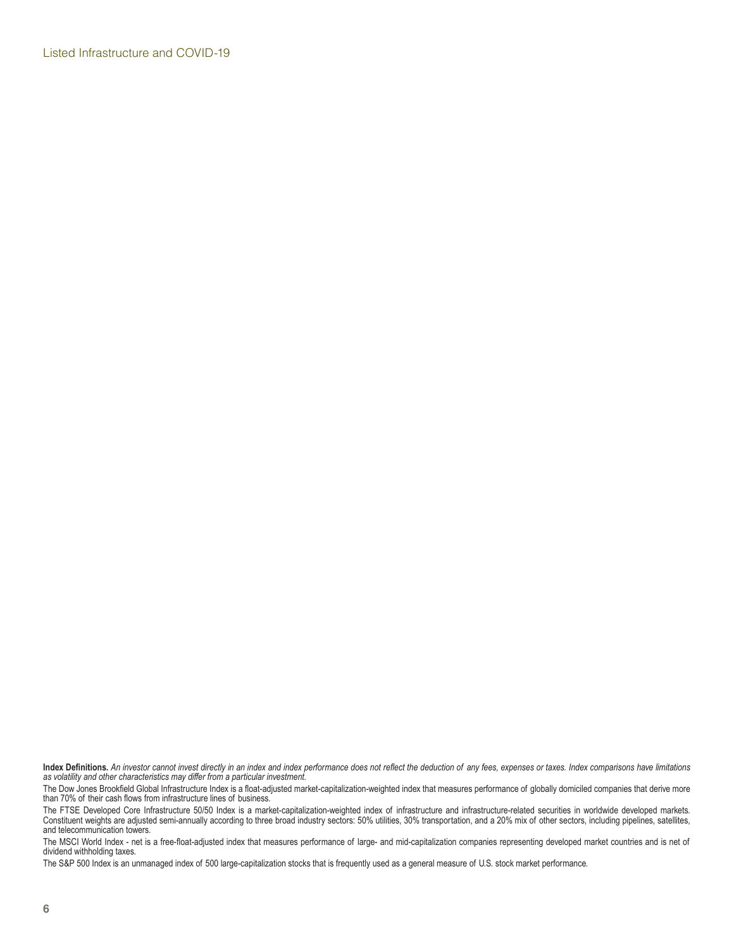Listed Infrastructure and COVID-19

**Index Definitions.** *An investor cannot invest directly in an index and index performance does not reflect the deduction of any fees, expenses or taxes. Index comparisons have limitations as volatility and other characteristics may differ from a particular investment.*

The Dow Jones Brookfield Global Infrastructure Index is a float-adjusted market-capitalization-weighted index that measures performance of globally domiciled companies that derive more than 70% of their cash flows from infrastructure lines of business.

The FTSE Developed Core Infrastructure 50/50 Index is a market-capitalization-weighted index of infrastructure and infrastructure-related securities in worldwide developed markets. Constituent weights are adjusted semi-annually according to three broad industry sectors: 50% utilities, 30% transportation, and a 20% mix of other sectors, including pipelines, satellites, and telecommunication towers.

The MSCI World Index - net is a free-float-adjusted index that measures performance of large- and mid-capitalization companies representing developed market countries and is net of dividend withholding taxes.

The S&P 500 Index is an unmanaged index of 500 large-capitalization stocks that is frequently used as a general measure of U.S. stock market performance.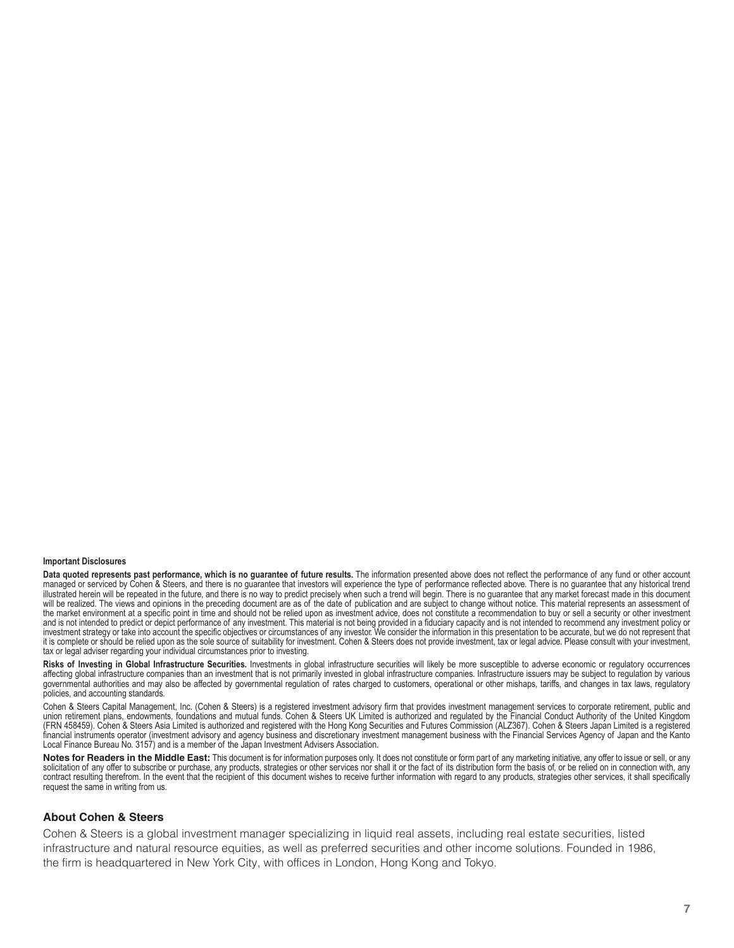#### **Important Disclosures**

Data quoted represents past performance, which is no guarantee of future results. The information presented above does not reflect the performance of any fund or other account managed or serviced by Cohen & Steers, and there is no guarantee that investors will experience the type of performance reflected above. There is no guarantee that any historical trend illustrated herein will be repeated in the future, and there is no way to predict precisely when such a trend will begin. There is no guarantee that any market forecast made in this document will be realized. The views and opinions in the preceding document are as of the date of publication and are subject to change without notice. This material represents an assessment of the market environment at a specific point in time and should not be relied upon as investment advice, does not constitute a recommendation to buy or sell a security or other investment and is not intended to predict or depict performance of any investment. This material is not being provided in a fiduciary capacity and is not intended to recommend any investment policy or investment strategy or take into account the specific objectives or circumstances of any investor. We consider the information in this presentation to be accurate, but we do not represent that it is complete or should be relied upon as the sole source of suitability for investment. Cohen & Steers does not provide investment, tax or legal advice. Please consult with your investment, tax or legal adviser regarding your individual circumstances prior to investing.

Risks of Investing in Global Infrastructure Securities. Investments in global infrastructure securities will likely be more susceptible to adverse economic or regulatory occurrences affecting global infrastructure companies than an investment that is not primarily invested in global infrastructure companies. Infrastructure issuers may be subject to regulation by various governmental authorities and may also be affected by governmental regulation of rates charged to customers, operational or other mishaps, tariffs, and changes in tax laws, regulatory policies, and accounting standards.

Cohen & Steers Capital Management, Inc. (Cohen & Steers) is a registered investment advisory firm that provides investment management services to corporate retirement, public and union retirement plans, endowments, foundations and mutual funds. Cohen & Steers UK Limited is authorized and regulated by the Financial Conduct Authority of the United Kingdom (FRN 458459). Cohen & Steers Asia Limited is authorized and registered with the Hong Kong Securities and Futures Commission (ALZ367). Cohen & Steers Japan Limited is a registered financial instruments operator (investment advisory and agency business and discretionary investment management business with the Financial Services Agency of Japan and the Kanto Local Finance Bureau No. 3157) and is a member of the Japan Investment Advisers Association.

Notes for Readers in the Middle East: This document is for information purposes only. It does not constitute or form part of any marketing initiative, any offer to issue or sell, or any solicitation of any offer to subscribe or purchase, any products, strategies or other services nor shall it or the fact of its distribution form the basis of, or be relied on in connection with, any contract resulting therefrom. In the event that the recipient of this document wishes to receive further information with regard to any products, strategies other services, it shall specifically request the same in writing from us.

### **About Cohen & Steers**

Cohen & Steers is a global investment manager specializing in liquid real assets, including real estate securities, listed infrastructure and natural resource equities, as well as preferred securities and other income solutions. Founded in 1986, the firm is headquartered in New York City, with offices in London, Hong Kong and Tokyo.